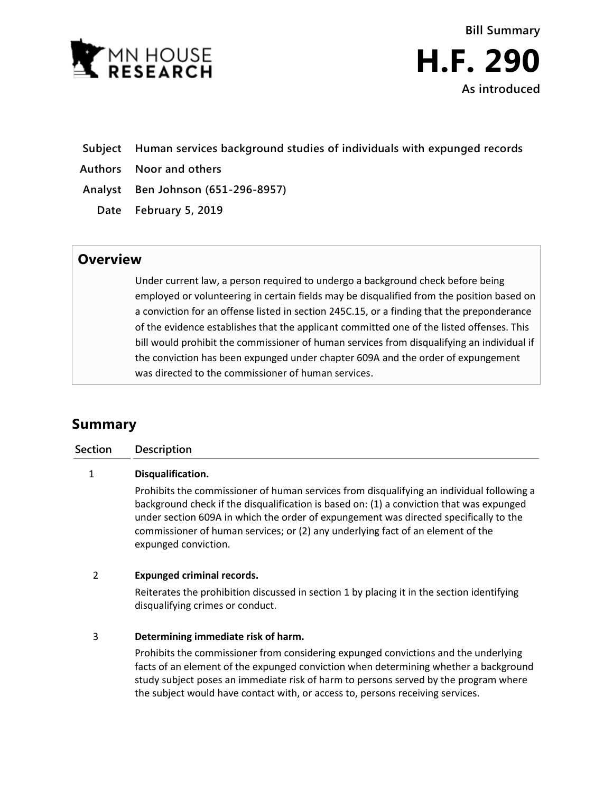



### **Subject Human services background studies of individuals with expunged records**

- **Authors Noor and others**
- **Analyst Ben Johnson (651-296-8957)**
	- **Date February 5, 2019**

## **Overview**

Under current law, a person required to undergo a background check before being employed or volunteering in certain fields may be disqualified from the position based on a conviction for an offense listed in section 245C.15, or a finding that the preponderance of the evidence establishes that the applicant committed one of the listed offenses. This bill would prohibit the commissioner of human services from disqualifying an individual if the conviction has been expunged under chapter 609A and the order of expungement was directed to the commissioner of human services.

# **Summary**

| Section | <b>Description</b>                                                                        |
|---------|-------------------------------------------------------------------------------------------|
|         | Disqualification.                                                                         |
|         | Prohibits the commissioner of human services from disqualifying an individual following a |

background check if the disqualification is based on: (1) a conviction that was expunged under section 609A in which the order of expungement was directed specifically to the commissioner of human services; or (2) any underlying fact of an element of the expunged conviction.

#### 2 **Expunged criminal records.**

Reiterates the prohibition discussed in section 1 by placing it in the section identifying disqualifying crimes or conduct.

#### 3 **Determining immediate risk of harm.**

Prohibits the commissioner from considering expunged convictions and the underlying facts of an element of the expunged conviction when determining whether a background study subject poses an immediate risk of harm to persons served by the program where the subject would have contact with, or access to, persons receiving services.